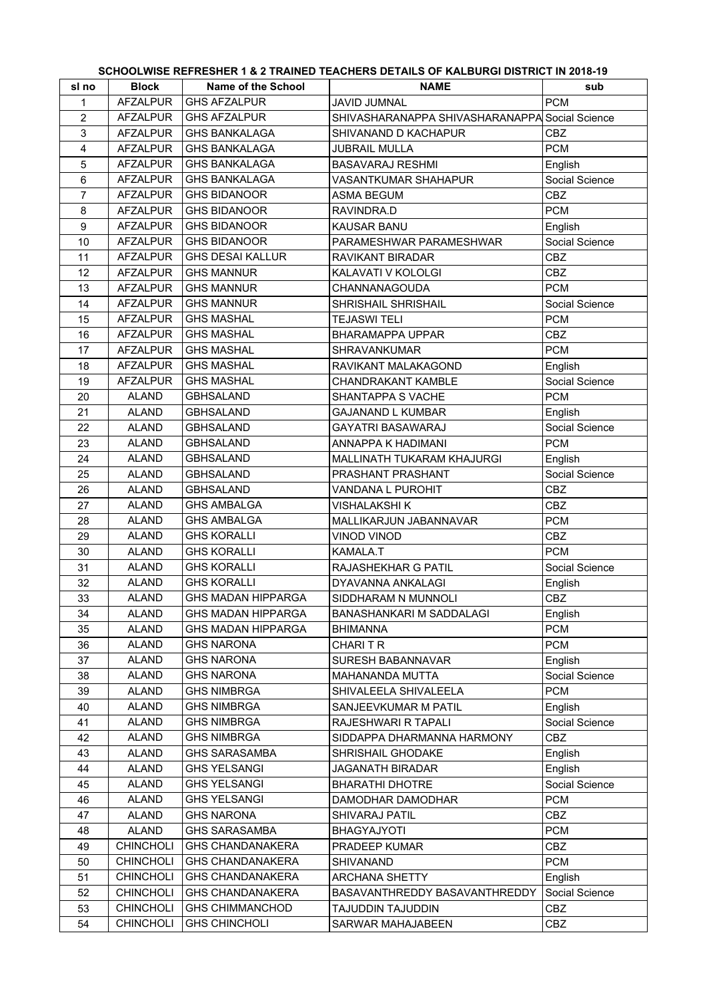## **SCHOOLWISE REFRESHER 1 & 2 TRAINED TEACHERS DETAILS OF KALBURGI DISTRICT IN 2018-19**

| sl no          | <b>Block</b>     | <b>Name of the School</b> | <b>NAME</b>                                    | sub            |
|----------------|------------------|---------------------------|------------------------------------------------|----------------|
| 1              | <b>AFZALPUR</b>  | <b>GHS AFZALPUR</b>       | JAVID JUMNAL                                   | <b>PCM</b>     |
| $\overline{c}$ | <b>AFZALPUR</b>  | <b>GHS AFZALPUR</b>       | SHIVASHARANAPPA SHIVASHARANAPPA Social Science |                |
| 3              | <b>AFZALPUR</b>  | <b>GHS BANKALAGA</b>      | SHIVANAND D KACHAPUR                           | <b>CBZ</b>     |
| 4              | <b>AFZALPUR</b>  | <b>GHS BANKALAGA</b>      | <b>JUBRAIL MULLA</b>                           | <b>PCM</b>     |
| 5              | <b>AFZALPUR</b>  | <b>GHS BANKALAGA</b>      | <b>BASAVARAJ RESHMI</b>                        | English        |
| 6              | <b>AFZALPUR</b>  | <b>GHS BANKALAGA</b>      | VASANTKUMAR SHAHAPUR                           | Social Science |
| $\overline{7}$ | <b>AFZALPUR</b>  | <b>GHS BIDANOOR</b>       | ASMA BEGUM                                     | <b>CBZ</b>     |
| 8              | <b>AFZALPUR</b>  | <b>GHS BIDANOOR</b>       | RAVINDRA.D                                     | <b>PCM</b>     |
| 9              | <b>AFZALPUR</b>  | <b>GHS BIDANOOR</b>       | KAUSAR BANU                                    | English        |
| 10             | <b>AFZALPUR</b>  | <b>GHS BIDANOOR</b>       | PARAMESHWAR PARAMESHWAR                        | Social Science |
| 11             | <b>AFZALPUR</b>  | <b>GHS DESAI KALLUR</b>   | RAVIKANT BIRADAR                               | <b>CBZ</b>     |
| 12             | <b>AFZALPUR</b>  | <b>GHS MANNUR</b>         | KALAVATI V KOLOLGI                             | <b>CBZ</b>     |
| 13             | <b>AFZALPUR</b>  | <b>GHS MANNUR</b>         | CHANNANAGOUDA                                  | <b>PCM</b>     |
| 14             | <b>AFZALPUR</b>  | <b>GHS MANNUR</b>         | SHRISHAIL SHRISHAIL                            | Social Science |
| 15             | <b>AFZALPUR</b>  | <b>GHS MASHAL</b>         | <b>TEJASWI TELI</b>                            | <b>PCM</b>     |
| 16             | AFZALPUR         | <b>GHS MASHAL</b>         | <b>BHARAMAPPA UPPAR</b>                        | CBZ            |
| 17             | <b>AFZALPUR</b>  | <b>GHS MASHAL</b>         | SHRAVANKUMAR                                   | <b>PCM</b>     |
| 18             | <b>AFZALPUR</b>  | <b>GHS MASHAL</b>         | RAVIKANT MALAKAGOND                            | English        |
| 19             | <b>AFZALPUR</b>  | <b>GHS MASHAL</b>         | CHANDRAKANT KAMBLE                             | Social Science |
| 20             | <b>ALAND</b>     | <b>GBHSALAND</b>          | SHANTAPPA S VACHE                              | <b>PCM</b>     |
| 21             | <b>ALAND</b>     | <b>GBHSALAND</b>          | <b>GAJANAND L KUMBAR</b>                       | English        |
| 22             | <b>ALAND</b>     | <b>GBHSALAND</b>          |                                                |                |
|                |                  |                           | GAYATRI BASAWARAJ                              | Social Science |
| 23             | <b>ALAND</b>     | <b>GBHSALAND</b>          | ANNAPPA K HADIMANI                             | <b>PCM</b>     |
| 24             | <b>ALAND</b>     | <b>GBHSALAND</b>          | MALLINATH TUKARAM KHAJURGI                     | English        |
| 25             | <b>ALAND</b>     | <b>GBHSALAND</b>          | PRASHANT PRASHANT                              | Social Science |
| 26             | <b>ALAND</b>     | <b>GBHSALAND</b>          | VANDANA L PUROHIT                              | CBZ            |
| 27             | <b>ALAND</b>     | <b>GHS AMBALGA</b>        | VISHALAKSHI K                                  | <b>CBZ</b>     |
| 28             | <b>ALAND</b>     | <b>GHS AMBALGA</b>        | MALLIKARJUN JABANNAVAR                         | <b>PCM</b>     |
| 29             | <b>ALAND</b>     | <b>GHS KORALLI</b>        | VINOD VINOD                                    | <b>CBZ</b>     |
| 30             | <b>ALAND</b>     | <b>GHS KORALLI</b>        | KAMALA.T                                       | <b>PCM</b>     |
| 31             | <b>ALAND</b>     | <b>GHS KORALLI</b>        | RAJASHEKHAR G PATIL                            | Social Science |
| 32             | <b>ALAND</b>     | <b>GHS KORALLI</b>        | DYAVANNA ANKALAGI                              | English        |
| 33             | <b>ALAND</b>     | <b>GHS MADAN HIPPARGA</b> | SIDDHARAM N MUNNOLI                            | <b>CBZ</b>     |
| 34             | <b>ALAND</b>     | <b>GHS MADAN HIPPARGA</b> | <b>BANASHANKARI M SADDALAGI</b>                | English        |
| 35             | <b>ALAND</b>     | <b>GHS MADAN HIPPARGA</b> | <b>BHIMANNA</b>                                | <b>PCM</b>     |
| 36             | <b>ALAND</b>     | <b>GHS NARONA</b>         | CHARI T R                                      | <b>PCM</b>     |
| 37             | <b>ALAND</b>     | <b>GHS NARONA</b>         | SURESH BABANNAVAR                              | English        |
| 38             | <b>ALAND</b>     | <b>GHS NARONA</b>         | MAHANANDA MUTTA                                | Social Science |
| 39             | <b>ALAND</b>     | <b>GHS NIMBRGA</b>        | SHIVALEELA SHIVALEELA                          | <b>PCM</b>     |
| 40             | <b>ALAND</b>     | <b>GHS NIMBRGA</b>        | SANJEEVKUMAR M PATIL                           | English        |
| 41             | <b>ALAND</b>     | <b>GHS NIMBRGA</b>        | RAJESHWARI R TAPALI                            | Social Science |
| 42             | <b>ALAND</b>     | <b>GHS NIMBRGA</b>        | SIDDAPPA DHARMANNA HARMONY                     | CBZ            |
| 43             | <b>ALAND</b>     | <b>GHS SARASAMBA</b>      | SHRISHAIL GHODAKE                              | English        |
| 44             | <b>ALAND</b>     | <b>GHS YELSANGI</b>       | JAGANATH BIRADAR                               | English        |
| 45             | <b>ALAND</b>     | <b>GHS YELSANGI</b>       | <b>BHARATHI DHOTRE</b>                         | Social Science |
| 46             | <b>ALAND</b>     | <b>GHS YELSANGI</b>       | DAMODHAR DAMODHAR                              | <b>PCM</b>     |
| 47             | <b>ALAND</b>     | <b>GHS NARONA</b>         | SHIVARAJ PATIL                                 | CBZ            |
| 48             | <b>ALAND</b>     | <b>GHS SARASAMBA</b>      | BHAGYAJYOTI                                    | <b>PCM</b>     |
| 49             | <b>CHINCHOLI</b> | <b>GHS CHANDANAKERA</b>   | PRADEEP KUMAR                                  | <b>CBZ</b>     |
| 50             | <b>CHINCHOLI</b> | <b>GHS CHANDANAKERA</b>   | SHIVANAND                                      | <b>PCM</b>     |
| 51             | <b>CHINCHOLI</b> | <b>GHS CHANDANAKERA</b>   | <b>ARCHANA SHETTY</b>                          | English        |
| 52             | <b>CHINCHOLI</b> | <b>GHS CHANDANAKERA</b>   | BASAVANTHREDDY BASAVANTHREDDY                  | Social Science |
| 53             | <b>CHINCHOLI</b> | <b>GHS CHIMMANCHOD</b>    | TAJUDDIN TAJUDDIN                              | CBZ            |
| 54             | <b>CHINCHOLI</b> | <b>GHS CHINCHOLI</b>      | SARWAR MAHAJABEEN                              | CBZ            |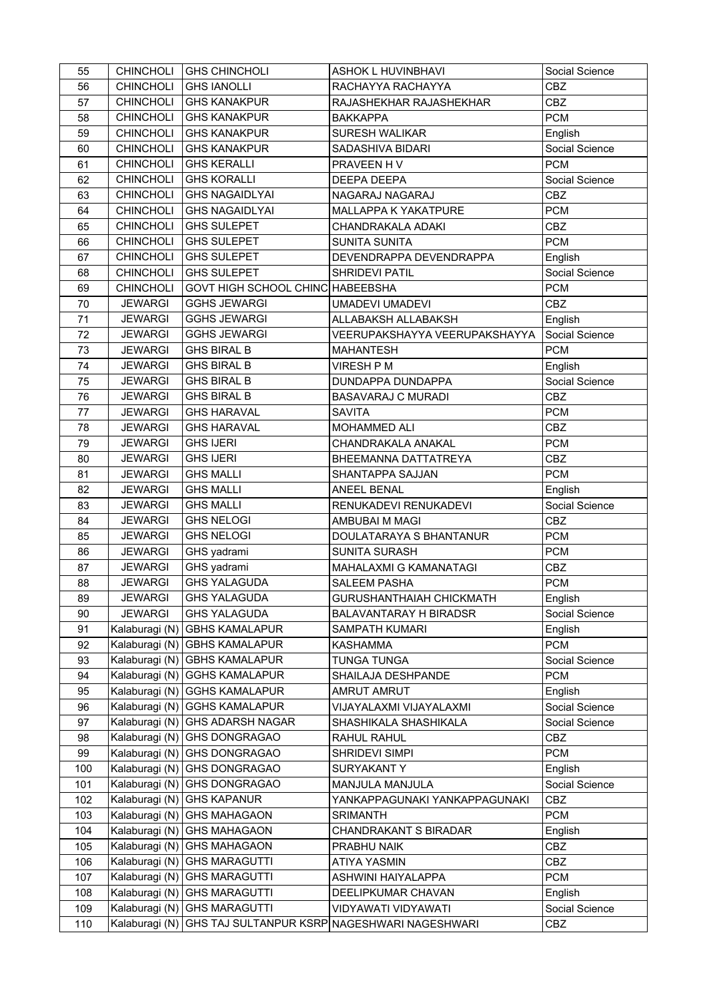| 55  | <b>CHINCHOLI</b> | <b>GHS CHINCHOLI</b>                  | <b>ASHOK L HUVINBHAVI</b>       | Social Science |
|-----|------------------|---------------------------------------|---------------------------------|----------------|
| 56  | <b>CHINCHOLI</b> | <b>GHS IANOLLI</b>                    | RACHAYYA RACHAYYA               | <b>CBZ</b>     |
| 57  | <b>CHINCHOLI</b> | <b>GHS KANAKPUR</b>                   | RAJASHEKHAR RAJASHEKHAR         | <b>CBZ</b>     |
| 58  | <b>CHINCHOLI</b> | <b>GHS KANAKPUR</b>                   | <b>BAKKAPPA</b>                 | <b>PCM</b>     |
| 59  | <b>CHINCHOLI</b> | <b>GHS KANAKPUR</b>                   | <b>SURESH WALIKAR</b>           | English        |
| 60  | CHINCHOLI        | <b>GHS KANAKPUR</b>                   | SADASHIVA BIDARI                | Social Science |
| 61  | <b>CHINCHOLI</b> | <b>GHS KERALLI</b>                    | PRAVEEN HV                      | <b>PCM</b>     |
| 62  | <b>CHINCHOLI</b> | <b>GHS KORALLI</b>                    | DEEPA DEEPA                     | Social Science |
| 63  | <b>CHINCHOLI</b> | <b>GHS NAGAIDLYAI</b>                 | NAGARAJ NAGARAJ                 | CBZ            |
| 64  | <b>CHINCHOLI</b> | <b>GHS NAGAIDLYAI</b>                 | MALLAPPA K YAKATPURE            | <b>PCM</b>     |
| 65  | <b>CHINCHOLI</b> | <b>GHS SULEPET</b>                    | CHANDRAKALA ADAKI               | CBZ            |
| 66  | <b>CHINCHOLI</b> | <b>GHS SULEPET</b>                    | <b>SUNITA SUNITA</b>            | <b>PCM</b>     |
| 67  | <b>CHINCHOLI</b> | <b>GHS SULEPET</b>                    | DEVENDRAPPA DEVENDRAPPA         | English        |
| 68  | <b>CHINCHOLI</b> | <b>GHS SULEPET</b>                    | SHRIDEVI PATIL                  | Social Science |
| 69  | <b>CHINCHOLI</b> | GOVT HIGH SCHOOL CHINC HABEEBSHA      |                                 | <b>PCM</b>     |
| 70  | <b>JEWARGI</b>   | <b>GGHS JEWARGI</b>                   | <b>UMADEVI UMADEVI</b>          | CBZ            |
| 71  | <b>JEWARGI</b>   | <b>GGHS JEWARGI</b>                   | ALLABAKSH ALLABAKSH             | English        |
| 72  | <b>JEWARGI</b>   | <b>GGHS JEWARGI</b>                   | VEERUPAKSHAYYA VEERUPAKSHAYYA   | Social Science |
| 73  | <b>JEWARGI</b>   | <b>GHS BIRAL B</b>                    | <b>MAHANTESH</b>                | <b>PCM</b>     |
| 74  | <b>JEWARGI</b>   | <b>GHS BIRAL B</b>                    | <b>VIRESH P M</b>               | English        |
| 75  | <b>JEWARGI</b>   | <b>GHS BIRAL B</b>                    | <b>DUNDAPPA DUNDAPPA</b>        | Social Science |
| 76  | <b>JEWARGI</b>   | <b>GHS BIRAL B</b>                    | <b>BASAVARAJ C MURADI</b>       | CBZ            |
| 77  | <b>JEWARGI</b>   | <b>GHS HARAVAL</b>                    | <b>SAVITA</b>                   | <b>PCM</b>     |
| 78  | <b>JEWARGI</b>   | <b>GHS HARAVAL</b>                    | MOHAMMED ALI                    | CBZ            |
| 79  | <b>JEWARGI</b>   | <b>GHS IJERI</b>                      | CHANDRAKALA ANAKAL              | <b>PCM</b>     |
| 80  | <b>JEWARGI</b>   | <b>GHS IJERI</b>                      | BHEEMANNA DATTATREYA            | <b>CBZ</b>     |
| 81  | <b>JEWARGI</b>   | <b>GHS MALLI</b>                      | SHANTAPPA SAJJAN                | <b>PCM</b>     |
| 82  | <b>JEWARGI</b>   | <b>GHS MALLI</b>                      | <b>ANEEL BENAL</b>              | English        |
| 83  | <b>JEWARGI</b>   | <b>GHS MALLI</b>                      | RENUKADEVI RENUKADEVI           | Social Science |
| 84  | <b>JEWARGI</b>   | <b>GHS NELOGI</b>                     | AMBUBAI M MAGI                  | CBZ            |
| 85  | <b>JEWARGI</b>   | <b>GHS NELOGI</b>                     | DOULATARAYA S BHANTANUR         | <b>PCM</b>     |
| 86  | <b>JEWARGI</b>   | GHS yadrami                           | SUNITA SURASH                   | <b>PCM</b>     |
| 87  | <b>JEWARGI</b>   | GHS yadrami                           | MAHALAXMI G KAMANATAGI          | CBZ            |
| 88  | <b>JEWARGI</b>   | <b>GHS YALAGUDA</b>                   | <b>SALEEM PASHA</b>             | <b>PCM</b>     |
| 89  | <b>JEWARGI</b>   | <b>GHS YALAGUDA</b>                   | <b>GURUSHANTHAIAH CHICKMATH</b> | English        |
| 90  | JEWARGI          | <b>GHS YALAGUDA</b>                   | BALAVANTARAY H BIRADSR          | Social Science |
| 91  |                  | Kalaburagi (N) GBHS KAMALAPUR         | SAMPATH KUMARI                  | English        |
| 92  |                  | Kalaburagi (N) GBHS KAMALAPUR         | <b>KASHAMMA</b>                 | <b>PCM</b>     |
| 93  |                  | Kalaburagi (N) GBHS KAMALAPUR         | <b>TUNGA TUNGA</b>              | Social Science |
| 94  |                  | Kalaburagi (N) GGHS KAMALAPUR         | SHAILAJA DESHPANDE              | <b>PCM</b>     |
| 95  |                  | Kalaburagi (N) GGHS KAMALAPUR         | AMRUT AMRUT                     | English        |
| 96  |                  | Kalaburagi (N) GGHS KAMALAPUR         | VIJAYALAXMI VIJAYALAXMI         | Social Science |
| 97  |                  | Kalaburagi (N) GHS ADARSH NAGAR       | SHASHIKALA SHASHIKALA           | Social Science |
| 98  |                  | Kalaburagi (N) GHS DONGRAGAO          | RAHUL RAHUL                     | CBZ            |
| 99  |                  | Kalaburagi (N) GHS DONGRAGAO          | SHRIDEVI SIMPI                  | <b>PCM</b>     |
| 100 |                  | Kalaburagi (N) GHS DONGRAGAO          | SURYAKANT Y                     | English        |
| 101 |                  | Kalaburagi (N) GHS DONGRAGAO          | MANJULA MANJULA                 | Social Science |
| 102 |                  | Kalaburagi (N) GHS KAPANUR            | YANKAPPAGUNAKI YANKAPPAGUNAKI   | <b>CBZ</b>     |
| 103 |                  | Kalaburagi (N) GHS MAHAGAON           | <b>SRIMANTH</b>                 | <b>PCM</b>     |
| 104 |                  | Kalaburagi (N) GHS MAHAGAON           | CHANDRAKANT S BIRADAR           | English        |
| 105 |                  | Kalaburagi (N) GHS MAHAGAON           | PRABHU NAIK                     | CBZ            |
| 106 |                  | Kalaburagi (N) GHS MARAGUTTI          | ATIYA YASMIN                    | CBZ            |
| 107 |                  | Kalaburagi (N) GHS MARAGUTTI          | ASHWINI HAIYALAPPA              | <b>PCM</b>     |
| 108 |                  | Kalaburagi (N) GHS MARAGUTTI          | DEELIPKUMAR CHAVAN              | English        |
| 109 |                  | Kalaburagi (N) GHS MARAGUTTI          | VIDYAWATI VIDYAWATI             | Social Science |
| 110 |                  | Kalaburagi (N) GHS TAJ SULTANPUR KSRP | NAGESHWARI NAGESHWARI           | <b>CBZ</b>     |